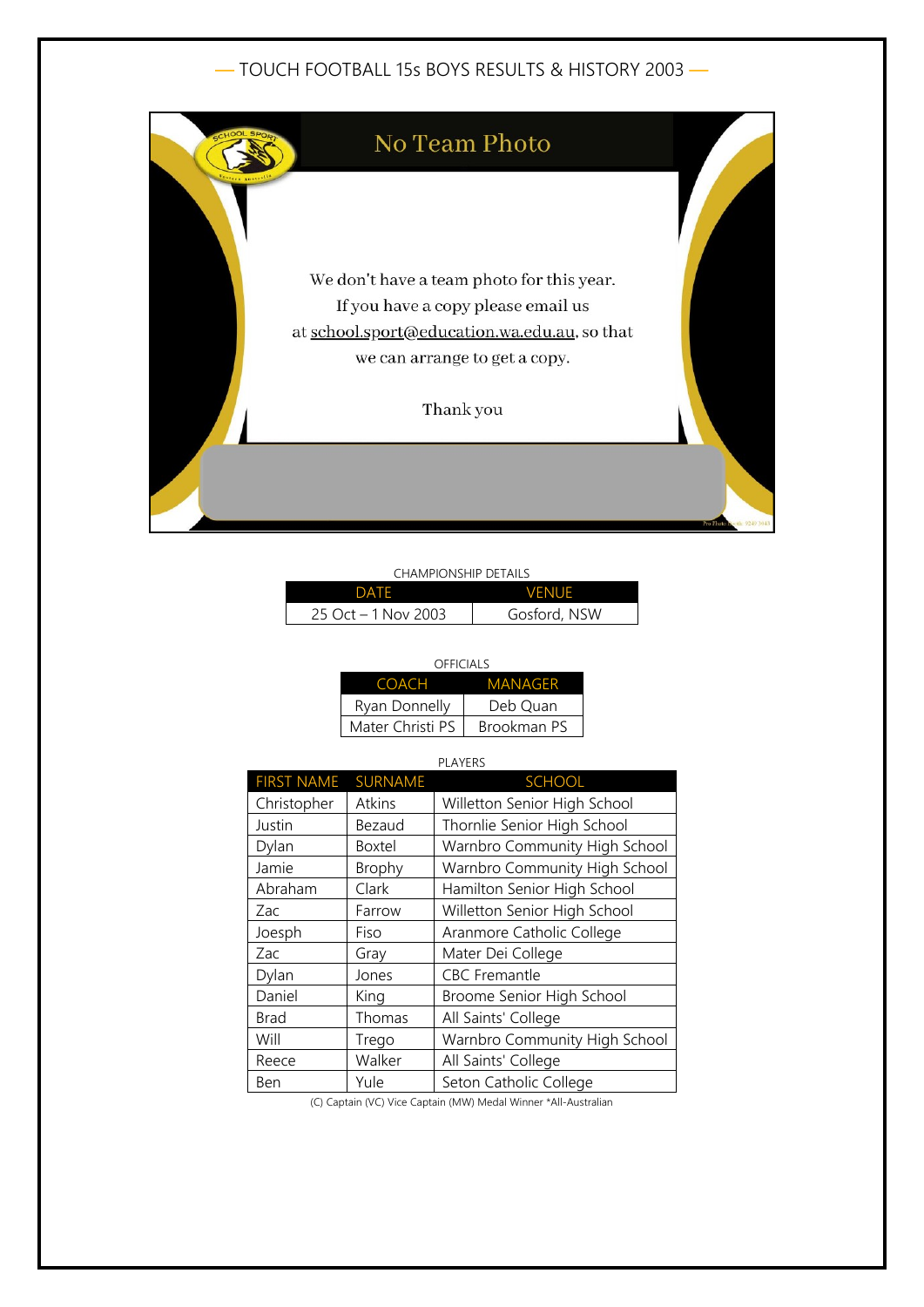# — TOUCH FOOTBALL 15s BOYS RESULTS & HISTORY 2003 —



### CHAMPIONSHIP DETAILS

| <b>DATE</b>          | <b>VENUE</b> |
|----------------------|--------------|
| 25 Oct $-1$ Nov 2003 | Gosford, NSW |

| OFFICIALS        |             |  |
|------------------|-------------|--|
| <b>COACH</b>     | MANAGFR     |  |
| Ryan Donnelly    | Deb Ouan    |  |
| Mater Christi PS | Brookman PS |  |

#### PLAYERS

| <b>FIRST NAME</b> | <b>SURNAME</b> | <b>SCHOOL</b>                 |
|-------------------|----------------|-------------------------------|
| Christopher       | Atkins         | Willetton Senior High School  |
| Justin            | Bezaud         | Thornlie Senior High School   |
| Dylan             | <b>Boxtel</b>  | Warnbro Community High School |
| Jamie             | Brophy         | Warnbro Community High School |
| Abraham           | Clark          | Hamilton Senior High School   |
| Zac               | Farrow         | Willetton Senior High School  |
| Joesph            | Fiso           | Aranmore Catholic College     |
| Zac               | Gray           | Mater Dei College             |
| Dylan             | Jones          | <b>CBC</b> Fremantle          |
| Daniel            | King           | Broome Senior High School     |
| <b>Brad</b>       | Thomas         | All Saints' College           |
| Will              | Trego          | Warnbro Community High School |
| Reece             | Walker         | All Saints' College           |
| Ben               | Yule           | Seton Catholic College        |

(C) Captain (VC) Vice Captain (MW) Medal Winner \*All-Australian